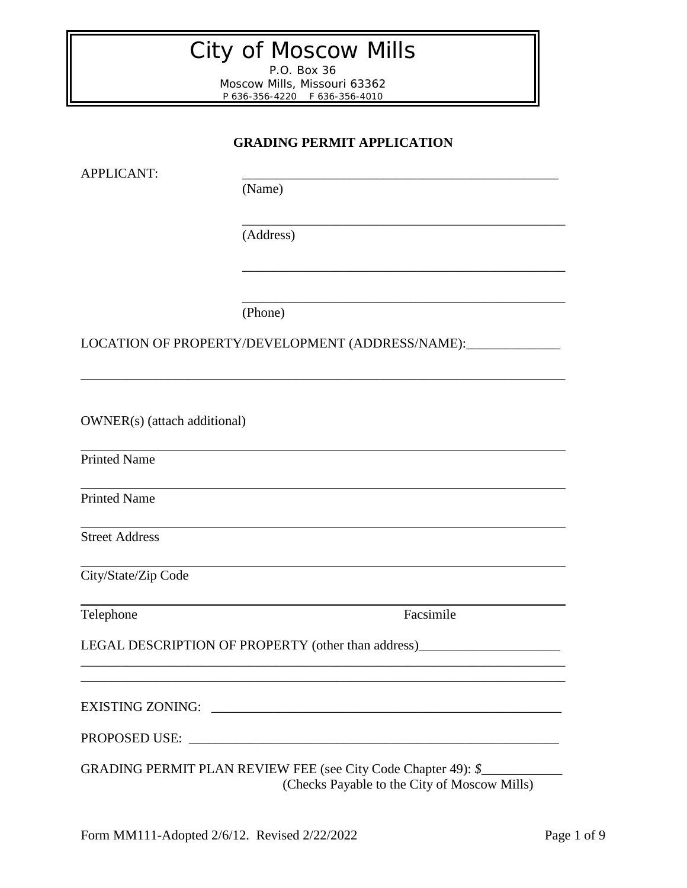# City of Moscow Mills

P.O. Box 36 Moscow Mills, Missouri 63362 P 636-356-4220 F 636-356-4010

# **GRADING PERMIT APPLICATION**

\_\_\_\_\_\_\_\_\_\_\_\_\_\_\_\_\_\_\_\_\_\_\_\_\_\_\_\_\_\_\_\_\_\_\_\_\_\_\_\_\_\_\_\_\_\_\_\_

\_\_\_\_\_\_\_\_\_\_\_\_\_\_\_\_\_\_\_\_\_\_\_\_\_\_\_\_\_\_\_\_\_\_\_\_\_\_\_\_\_\_\_\_\_\_\_\_

\_\_\_\_\_\_\_\_\_\_\_\_\_\_\_\_\_\_\_\_\_\_\_\_\_\_\_\_\_\_\_\_\_\_\_\_\_\_\_\_\_\_\_\_\_\_\_\_

APPLICANT: \_\_\_\_\_\_\_\_\_\_\_\_\_\_\_\_\_\_\_\_\_\_\_\_\_\_\_\_\_\_\_\_\_\_\_\_\_\_\_\_\_\_\_\_\_\_\_

(Name)

(Address)

(Phone)

LOCATION OF PROPERTY/DEVELOPMENT (ADDRESS/NAME):\_\_\_\_\_\_\_\_\_\_\_\_\_\_

\_\_\_\_\_\_\_\_\_\_\_\_\_\_\_\_\_\_\_\_\_\_\_\_\_\_\_\_\_\_\_\_\_\_\_\_\_\_\_\_\_\_\_\_\_\_\_\_\_\_\_\_\_\_\_\_\_\_\_\_\_\_\_\_\_\_\_\_\_\_\_\_

OWNER(s) (attach additional)

Printed Name

Printed Name

Street Address

City/State/Zip Code

Telephone Facsimile

LEGAL DESCRIPTION OF PROPERTY (other than address)\_\_\_\_\_\_\_\_\_\_\_\_\_\_\_\_\_\_\_\_\_\_\_\_\_\_\_\_\_\_

EXISTING ZONING: \_\_\_\_\_\_\_\_\_\_\_\_\_\_\_\_\_\_\_\_\_\_\_\_\_\_\_\_\_\_\_\_\_\_\_\_\_\_\_\_\_\_\_\_\_\_\_\_\_\_\_\_

PROPOSED USE: \_\_\_\_\_\_\_\_\_\_\_\_\_\_\_\_\_\_\_\_\_\_\_\_\_\_\_\_\_\_\_\_\_\_\_\_\_\_\_\_\_\_\_\_\_\_\_\_\_\_\_\_\_\_\_

\_\_\_\_\_\_\_\_\_\_\_\_\_\_\_\_\_\_\_\_\_\_\_\_\_\_\_\_\_\_\_\_\_\_\_\_\_\_\_\_\_\_\_\_\_\_\_\_\_\_\_\_\_\_\_\_\_\_\_\_\_\_\_\_\_\_\_\_\_\_\_\_ \_\_\_\_\_\_\_\_\_\_\_\_\_\_\_\_\_\_\_\_\_\_\_\_\_\_\_\_\_\_\_\_\_\_\_\_\_\_\_\_\_\_\_\_\_\_\_\_\_\_\_\_\_\_\_\_\_\_\_\_\_\_\_\_\_\_\_\_\_\_\_\_

GRADING PERMIT PLAN REVIEW FEE (see City Code Chapter 49): *\$*\_\_\_\_\_\_\_\_\_\_\_\_ (Checks Payable to the City of Moscow Mills)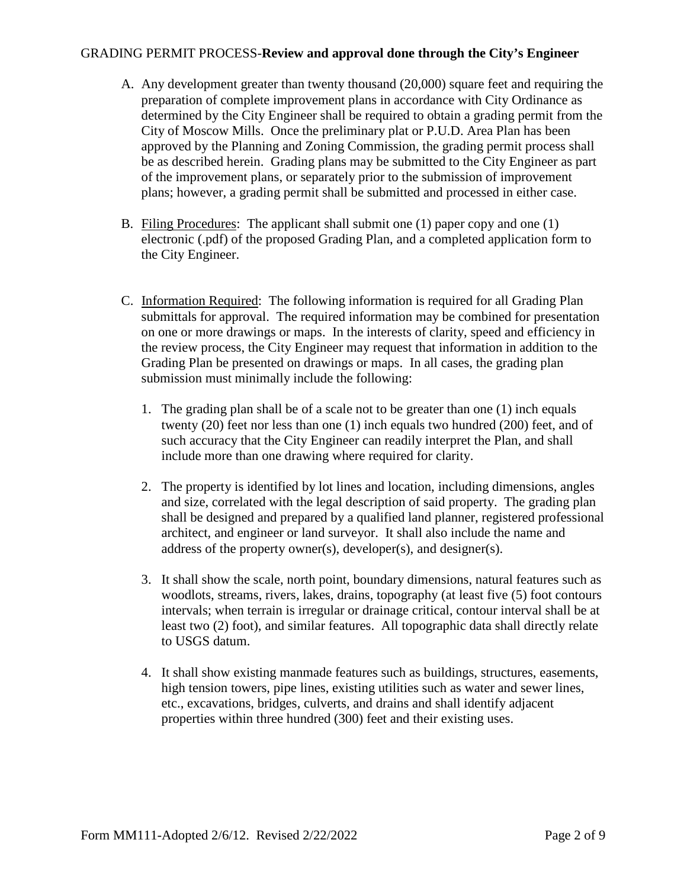## GRADING PERMIT PROCESS-**Review and approval done through the City's Engineer**

- A. Any development greater than twenty thousand (20,000) square feet and requiring the preparation of complete improvement plans in accordance with City Ordinance as determined by the City Engineer shall be required to obtain a grading permit from the City of Moscow Mills. Once the preliminary plat or P.U.D. Area Plan has been approved by the Planning and Zoning Commission, the grading permit process shall be as described herein. Grading plans may be submitted to the City Engineer as part of the improvement plans, or separately prior to the submission of improvement plans; however, a grading permit shall be submitted and processed in either case.
- B. Filing Procedures: The applicant shall submit one (1) paper copy and one (1) electronic (.pdf) of the proposed Grading Plan, and a completed application form to the City Engineer.
- C. Information Required: The following information is required for all Grading Plan submittals for approval. The required information may be combined for presentation on one or more drawings or maps. In the interests of clarity, speed and efficiency in the review process, the City Engineer may request that information in addition to the Grading Plan be presented on drawings or maps. In all cases, the grading plan submission must minimally include the following:
	- 1. The grading plan shall be of a scale not to be greater than one (1) inch equals twenty (20) feet nor less than one (1) inch equals two hundred (200) feet, and of such accuracy that the City Engineer can readily interpret the Plan, and shall include more than one drawing where required for clarity.
	- 2. The property is identified by lot lines and location, including dimensions, angles and size, correlated with the legal description of said property. The grading plan shall be designed and prepared by a qualified land planner, registered professional architect, and engineer or land surveyor. It shall also include the name and address of the property owner(s), developer(s), and designer(s).
	- 3. It shall show the scale, north point, boundary dimensions, natural features such as woodlots, streams, rivers, lakes, drains, topography (at least five (5) foot contours intervals; when terrain is irregular or drainage critical, contour interval shall be at least two (2) foot), and similar features. All topographic data shall directly relate to USGS datum.
	- 4. It shall show existing manmade features such as buildings, structures, easements, high tension towers, pipe lines, existing utilities such as water and sewer lines, etc., excavations, bridges, culverts, and drains and shall identify adjacent properties within three hundred (300) feet and their existing uses.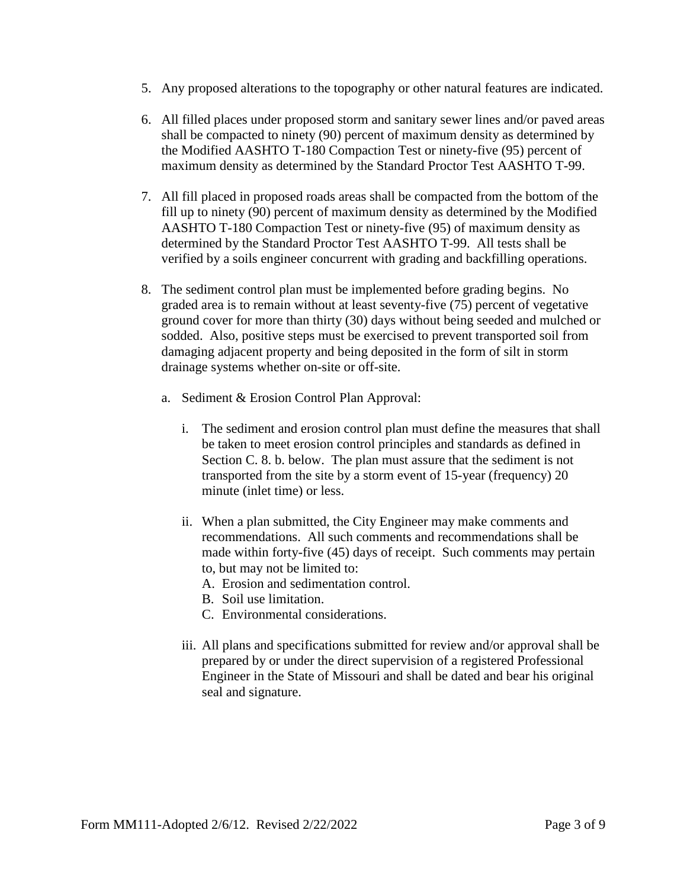- 5. Any proposed alterations to the topography or other natural features are indicated.
- 6. All filled places under proposed storm and sanitary sewer lines and/or paved areas shall be compacted to ninety (90) percent of maximum density as determined by the Modified AASHTO T-180 Compaction Test or ninety-five (95) percent of maximum density as determined by the Standard Proctor Test AASHTO T-99.
- 7. All fill placed in proposed roads areas shall be compacted from the bottom of the fill up to ninety (90) percent of maximum density as determined by the Modified AASHTO T-180 Compaction Test or ninety-five (95) of maximum density as determined by the Standard Proctor Test AASHTO T-99. All tests shall be verified by a soils engineer concurrent with grading and backfilling operations.
- 8. The sediment control plan must be implemented before grading begins. No graded area is to remain without at least seventy-five (75) percent of vegetative ground cover for more than thirty (30) days without being seeded and mulched or sodded. Also, positive steps must be exercised to prevent transported soil from damaging adjacent property and being deposited in the form of silt in storm drainage systems whether on-site or off-site.
	- a. Sediment & Erosion Control Plan Approval:
		- i. The sediment and erosion control plan must define the measures that shall be taken to meet erosion control principles and standards as defined in Section C. 8. b. below. The plan must assure that the sediment is not transported from the site by a storm event of 15-year (frequency) 20 minute (inlet time) or less.
		- ii. When a plan submitted, the City Engineer may make comments and recommendations. All such comments and recommendations shall be made within forty-five (45) days of receipt. Such comments may pertain to, but may not be limited to:
			- A. Erosion and sedimentation control.
			- B. Soil use limitation.
			- C. Environmental considerations.
		- iii. All plans and specifications submitted for review and/or approval shall be prepared by or under the direct supervision of a registered Professional Engineer in the State of Missouri and shall be dated and bear his original seal and signature.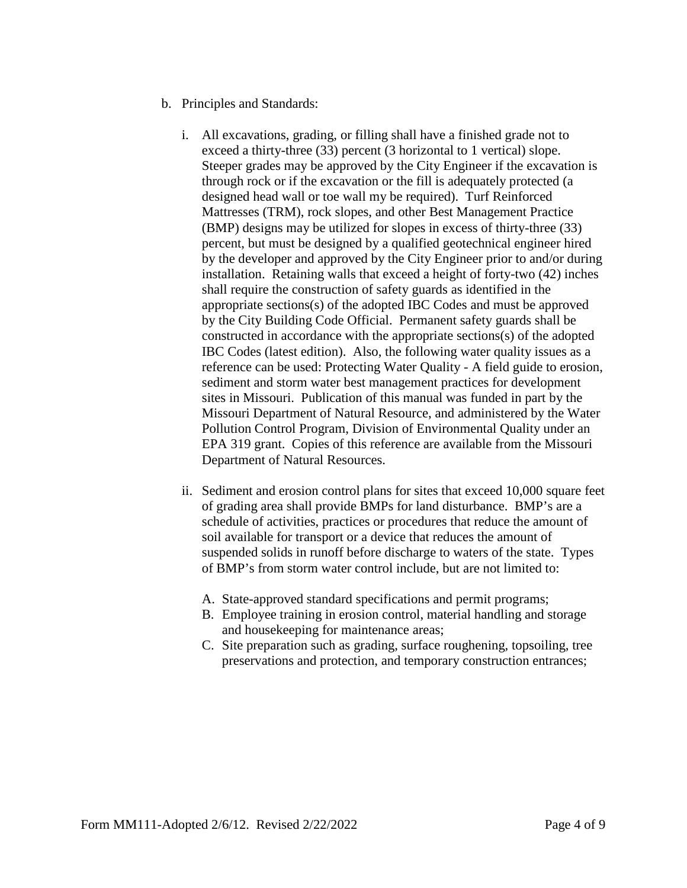- b. Principles and Standards:
	- i. All excavations, grading, or filling shall have a finished grade not to exceed a thirty-three (33) percent (3 horizontal to 1 vertical) slope. Steeper grades may be approved by the City Engineer if the excavation is through rock or if the excavation or the fill is adequately protected (a designed head wall or toe wall my be required). Turf Reinforced Mattresses (TRM), rock slopes, and other Best Management Practice (BMP) designs may be utilized for slopes in excess of thirty-three (33) percent, but must be designed by a qualified geotechnical engineer hired by the developer and approved by the City Engineer prior to and/or during installation. Retaining walls that exceed a height of forty-two (42) inches shall require the construction of safety guards as identified in the appropriate sections(s) of the adopted IBC Codes and must be approved by the City Building Code Official. Permanent safety guards shall be constructed in accordance with the appropriate sections(s) of the adopted IBC Codes (latest edition). Also, the following water quality issues as a reference can be used: Protecting Water Quality - A field guide to erosion, sediment and storm water best management practices for development sites in Missouri. Publication of this manual was funded in part by the Missouri Department of Natural Resource, and administered by the Water Pollution Control Program, Division of Environmental Quality under an EPA 319 grant. Copies of this reference are available from the Missouri Department of Natural Resources.
	- ii. Sediment and erosion control plans for sites that exceed 10,000 square feet of grading area shall provide BMPs for land disturbance. BMP's are a schedule of activities, practices or procedures that reduce the amount of soil available for transport or a device that reduces the amount of suspended solids in runoff before discharge to waters of the state. Types of BMP's from storm water control include, but are not limited to:
		- A. State-approved standard specifications and permit programs;
		- B. Employee training in erosion control, material handling and storage and housekeeping for maintenance areas;
		- C. Site preparation such as grading, surface roughening, topsoiling, tree preservations and protection, and temporary construction entrances;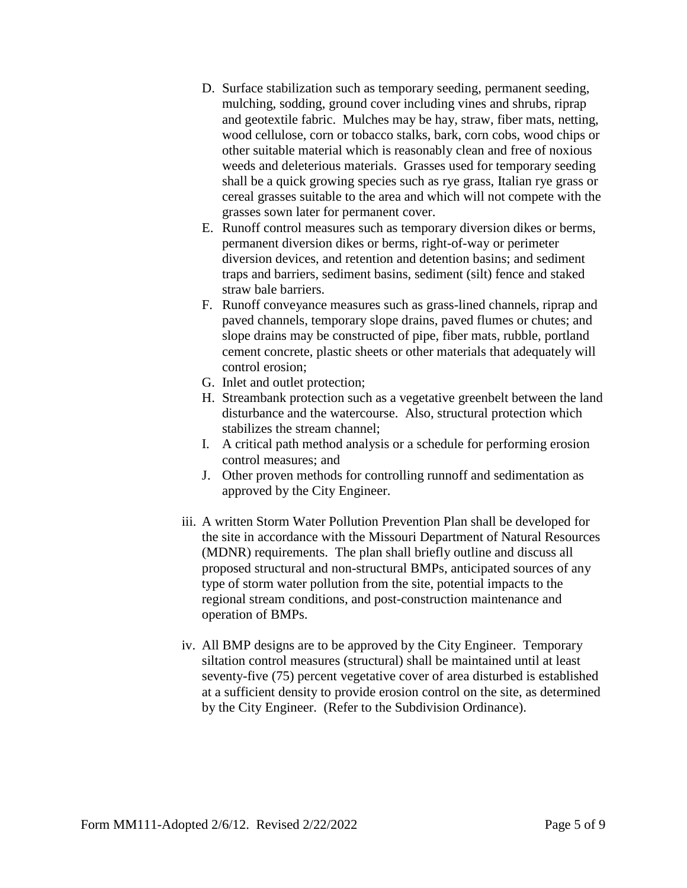- D. Surface stabilization such as temporary seeding, permanent seeding, mulching, sodding, ground cover including vines and shrubs, riprap and geotextile fabric. Mulches may be hay, straw, fiber mats, netting, wood cellulose, corn or tobacco stalks, bark, corn cobs, wood chips or other suitable material which is reasonably clean and free of noxious weeds and deleterious materials. Grasses used for temporary seeding shall be a quick growing species such as rye grass, Italian rye grass or cereal grasses suitable to the area and which will not compete with the grasses sown later for permanent cover.
- E. Runoff control measures such as temporary diversion dikes or berms, permanent diversion dikes or berms, right-of-way or perimeter diversion devices, and retention and detention basins; and sediment traps and barriers, sediment basins, sediment (silt) fence and staked straw bale barriers.
- F. Runoff conveyance measures such as grass-lined channels, riprap and paved channels, temporary slope drains, paved flumes or chutes; and slope drains may be constructed of pipe, fiber mats, rubble, portland cement concrete, plastic sheets or other materials that adequately will control erosion;
- G. Inlet and outlet protection;
- H. Streambank protection such as a vegetative greenbelt between the land disturbance and the watercourse. Also, structural protection which stabilizes the stream channel;
- I. A critical path method analysis or a schedule for performing erosion control measures; and
- J. Other proven methods for controlling runnoff and sedimentation as approved by the City Engineer.
- iii. A written Storm Water Pollution Prevention Plan shall be developed for the site in accordance with the Missouri Department of Natural Resources (MDNR) requirements. The plan shall briefly outline and discuss all proposed structural and non-structural BMPs, anticipated sources of any type of storm water pollution from the site, potential impacts to the regional stream conditions, and post-construction maintenance and operation of BMPs.
- iv. All BMP designs are to be approved by the City Engineer. Temporary siltation control measures (structural) shall be maintained until at least seventy-five (75) percent vegetative cover of area disturbed is established at a sufficient density to provide erosion control on the site, as determined by the City Engineer. (Refer to the Subdivision Ordinance).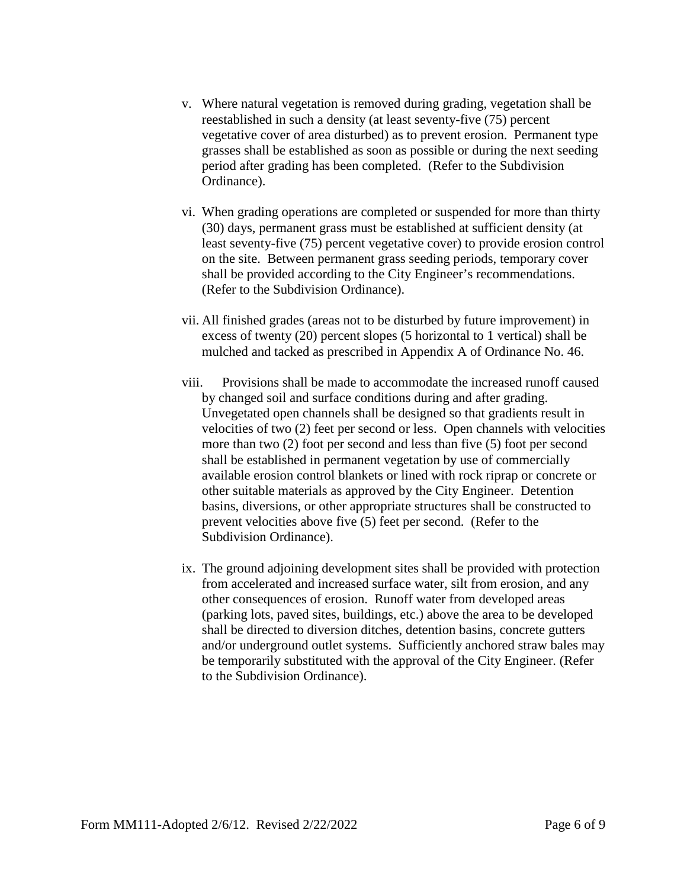- v. Where natural vegetation is removed during grading, vegetation shall be reestablished in such a density (at least seventy-five (75) percent vegetative cover of area disturbed) as to prevent erosion. Permanent type grasses shall be established as soon as possible or during the next seeding period after grading has been completed. (Refer to the Subdivision Ordinance).
- vi. When grading operations are completed or suspended for more than thirty (30) days, permanent grass must be established at sufficient density (at least seventy-five (75) percent vegetative cover) to provide erosion control on the site. Between permanent grass seeding periods, temporary cover shall be provided according to the City Engineer's recommendations. (Refer to the Subdivision Ordinance).
- vii. All finished grades (areas not to be disturbed by future improvement) in excess of twenty (20) percent slopes (5 horizontal to 1 vertical) shall be mulched and tacked as prescribed in Appendix A of Ordinance No. 46.
- viii. Provisions shall be made to accommodate the increased runoff caused by changed soil and surface conditions during and after grading. Unvegetated open channels shall be designed so that gradients result in velocities of two (2) feet per second or less. Open channels with velocities more than two (2) foot per second and less than five (5) foot per second shall be established in permanent vegetation by use of commercially available erosion control blankets or lined with rock riprap or concrete or other suitable materials as approved by the City Engineer. Detention basins, diversions, or other appropriate structures shall be constructed to prevent velocities above five (5) feet per second. (Refer to the Subdivision Ordinance).
- ix. The ground adjoining development sites shall be provided with protection from accelerated and increased surface water, silt from erosion, and any other consequences of erosion. Runoff water from developed areas (parking lots, paved sites, buildings, etc.) above the area to be developed shall be directed to diversion ditches, detention basins, concrete gutters and/or underground outlet systems. Sufficiently anchored straw bales may be temporarily substituted with the approval of the City Engineer. (Refer to the Subdivision Ordinance).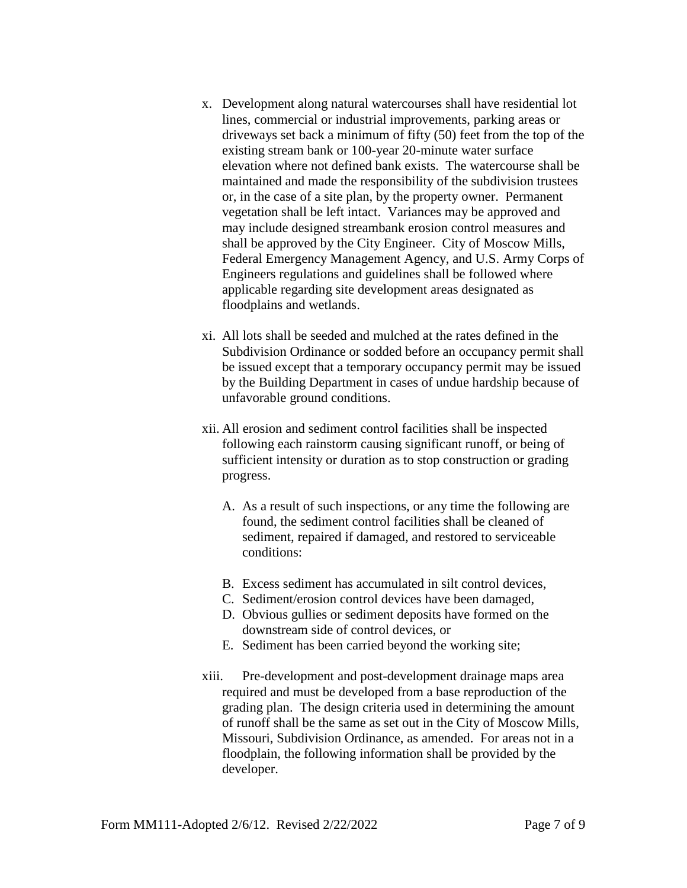- x. Development along natural watercourses shall have residential lot lines, commercial or industrial improvements, parking areas or driveways set back a minimum of fifty (50) feet from the top of the existing stream bank or 100-year 20-minute water surface elevation where not defined bank exists. The watercourse shall be maintained and made the responsibility of the subdivision trustees or, in the case of a site plan, by the property owner. Permanent vegetation shall be left intact. Variances may be approved and may include designed streambank erosion control measures and shall be approved by the City Engineer. City of Moscow Mills, Federal Emergency Management Agency, and U.S. Army Corps of Engineers regulations and guidelines shall be followed where applicable regarding site development areas designated as floodplains and wetlands.
- xi. All lots shall be seeded and mulched at the rates defined in the Subdivision Ordinance or sodded before an occupancy permit shall be issued except that a temporary occupancy permit may be issued by the Building Department in cases of undue hardship because of unfavorable ground conditions.
- xii. All erosion and sediment control facilities shall be inspected following each rainstorm causing significant runoff, or being of sufficient intensity or duration as to stop construction or grading progress.
	- A. As a result of such inspections, or any time the following are found, the sediment control facilities shall be cleaned of sediment, repaired if damaged, and restored to serviceable conditions:
	- B. Excess sediment has accumulated in silt control devices,
	- C. Sediment/erosion control devices have been damaged,
	- D. Obvious gullies or sediment deposits have formed on the downstream side of control devices, or
	- E. Sediment has been carried beyond the working site;
- xiii. Pre-development and post-development drainage maps area required and must be developed from a base reproduction of the grading plan. The design criteria used in determining the amount of runoff shall be the same as set out in the City of Moscow Mills, Missouri, Subdivision Ordinance, as amended. For areas not in a floodplain, the following information shall be provided by the developer.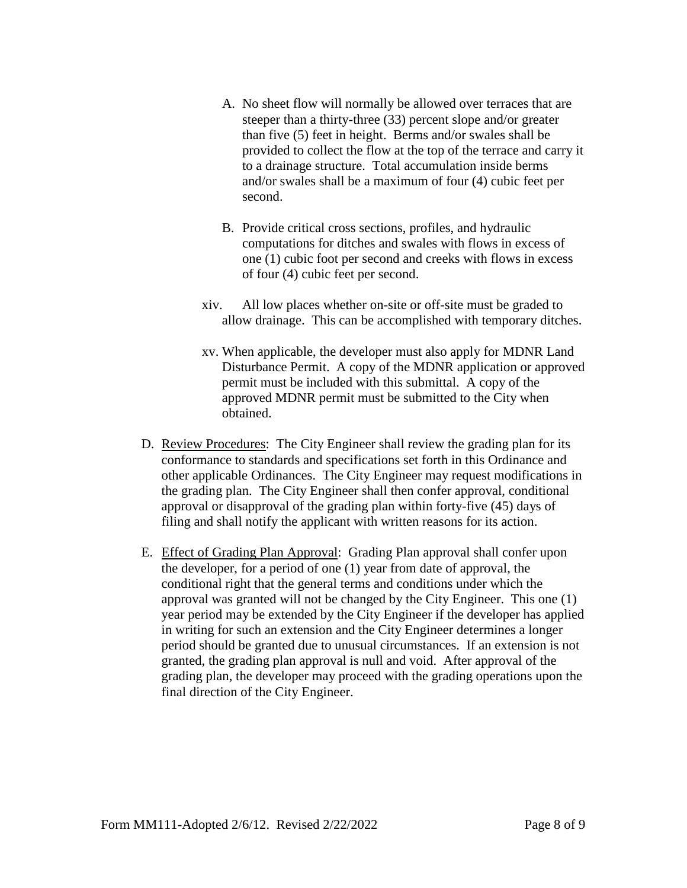- A. No sheet flow will normally be allowed over terraces that are steeper than a thirty-three (33) percent slope and/or greater than five (5) feet in height. Berms and/or swales shall be provided to collect the flow at the top of the terrace and carry it to a drainage structure. Total accumulation inside berms and/or swales shall be a maximum of four (4) cubic feet per second.
- B. Provide critical cross sections, profiles, and hydraulic computations for ditches and swales with flows in excess of one (1) cubic foot per second and creeks with flows in excess of four (4) cubic feet per second.
- xiv. All low places whether on-site or off-site must be graded to allow drainage. This can be accomplished with temporary ditches.
- xv. When applicable, the developer must also apply for MDNR Land Disturbance Permit. A copy of the MDNR application or approved permit must be included with this submittal. A copy of the approved MDNR permit must be submitted to the City when obtained.
- D. Review Procedures: The City Engineer shall review the grading plan for its conformance to standards and specifications set forth in this Ordinance and other applicable Ordinances. The City Engineer may request modifications in the grading plan. The City Engineer shall then confer approval, conditional approval or disapproval of the grading plan within forty-five (45) days of filing and shall notify the applicant with written reasons for its action.
- E. Effect of Grading Plan Approval: Grading Plan approval shall confer upon the developer, for a period of one (1) year from date of approval, the conditional right that the general terms and conditions under which the approval was granted will not be changed by the City Engineer. This one (1) year period may be extended by the City Engineer if the developer has applied in writing for such an extension and the City Engineer determines a longer period should be granted due to unusual circumstances. If an extension is not granted, the grading plan approval is null and void. After approval of the grading plan, the developer may proceed with the grading operations upon the final direction of the City Engineer.